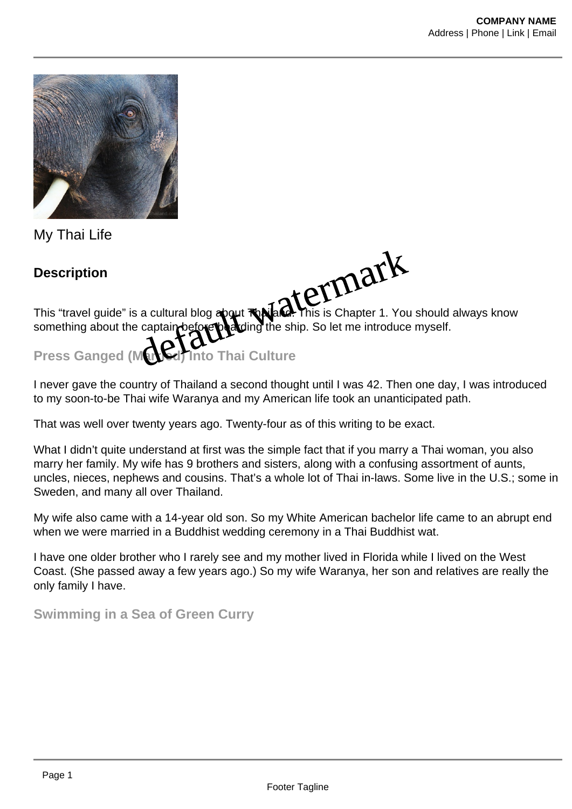

My Thai Life

**Description**

This "travel guide" is a cultural blog about **Toailand. T**his is Chapter 1. You should always know something about the captain before boarding the ship. So let me introduce myself. Description<br>This "travel guide" is a cultural blog apout **Rajade. This is Chapter 1.** You<br>something about the captain before position the ship. So let me introduce<br>Press Ganged (Mated) Into Thai Culture

I never gave the country of Thailand a second thought until I was 42. Then one day, I was introduced to my soon-to-be Thai wife Waranya and my American life took an unanticipated path.

That was well over twenty years ago. Twenty-four as of this writing to be exact.

What I didn't quite understand at first was the simple fact that if you marry a Thai woman, you also marry her family. My wife has 9 brothers and sisters, along with a confusing assortment of aunts, uncles, nieces, nephews and cousins. That's a whole lot of Thai in-laws. Some live in the U.S.; some in Sweden, and many all over Thailand.

My wife also came with a 14-year old son. So my White American bachelor life came to an abrupt end when we were married in a Buddhist wedding ceremony in a Thai Buddhist wat.

I have one older brother who I rarely see and my mother lived in Florida while I lived on the West Coast. (She passed away a few years ago.) So my wife Waranya, her son and relatives are really the only family I have.

**Swimming in a Sea of Green Curry**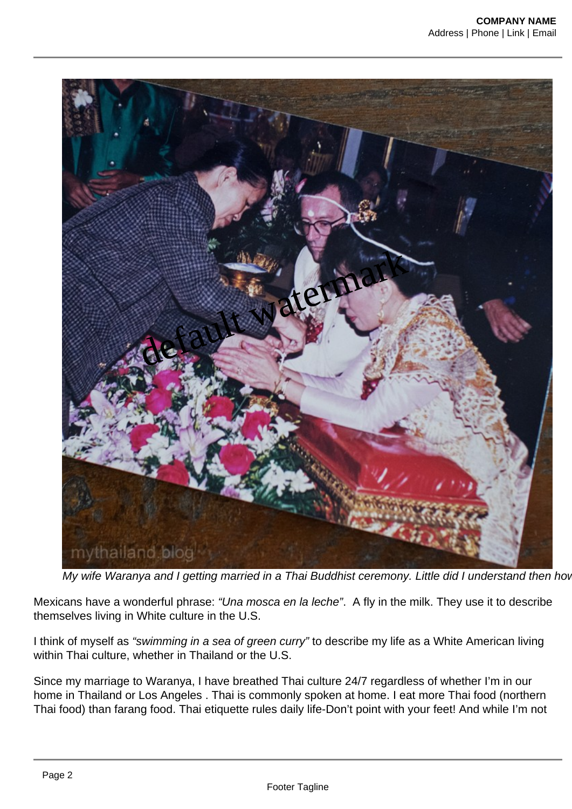

My wife Waranya and I getting married in a Thai Buddhist ceremony. Little did I understand then how

Mexicans have a wonderful phrase: "Una mosca en la leche". A fly in the milk. They use it to describe themselves living in White culture in the U.S.

I think of myself as "swimming in a sea of green curry" to describe my life as a White American living within Thai culture, whether in Thailand or the U.S.

Since my marriage to Waranya, I have breathed Thai culture 24/7 regardless of whether I'm in our home in Thailand or Los Angeles . Thai is commonly spoken at home. I eat more Thai food (northern Thai food) than farang food. Thai etiquette rules daily life-Don't point with your feet! And while I'm not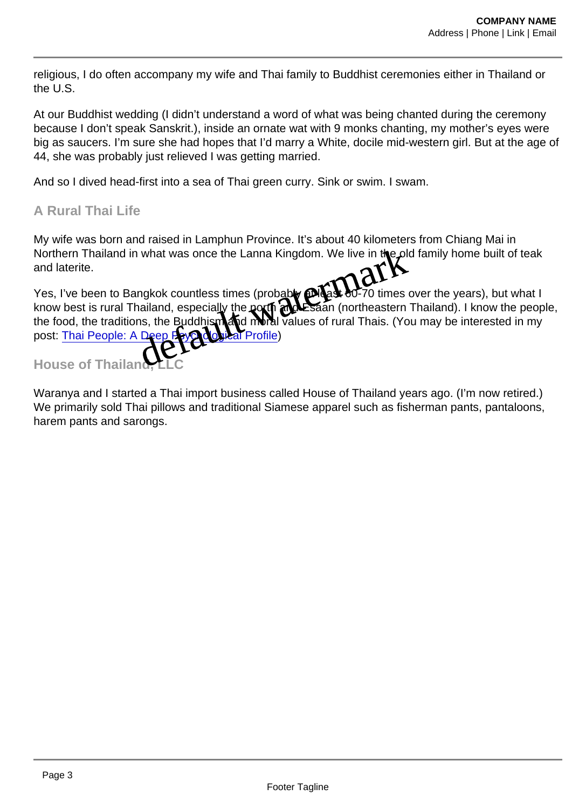religious, I do often accompany my wife and Thai family to Buddhist ceremonies either in Thailand or the U.S.

At our Buddhist wedding (I didn't understand a word of what was being chanted during the ceremony because I don't speak Sanskrit.), inside an ornate wat with 9 monks chanting, my mother's eyes were big as saucers. I'm sure she had hopes that I'd marry a White, docile mid-western girl. But at the age of 44, she was probably just relieved I was getting married.

And so I dived head-first into a sea of Thai green curry. Sink or swim. I swam.

## A Rural Thai Life

My wife was born and raised in Lamphun Province. It's about 40 kilometers from Chiang Mai in Northern Thailand in what was once the Lanna Kingdom. We live in the **plot analy home built of teak** and laterite.

Yes, I've been to Bangkok countless times (probably at least 60-70 times over the years), but what I know best is rural Thailand, especially the north and Esaan (northeastern Thailand). I know the people, the food, the traditions, the Buddhism and moral values of rural Thais. (You may be interested in my post: [Thai People: A Deep Psychological Profile](https://mythailand.blog/2018/01/29/thai-people-a-deep-psychological-profile/)) Id raised in Lamphun Province. It's about 40 kilometers from what was once the Lanna Kingdom. We live in the **properties** from what was once the Lanna Kingdom. We live in the **properties** magkok countless times (probably a

House of Thailand

Waranya and I started a Thai import business called House of Thailand years ago. (I'm now retired.) We primarily sold Thai pillows and traditional Siamese apparel such as fisherman pants, pantaloons, harem pants and sarongs.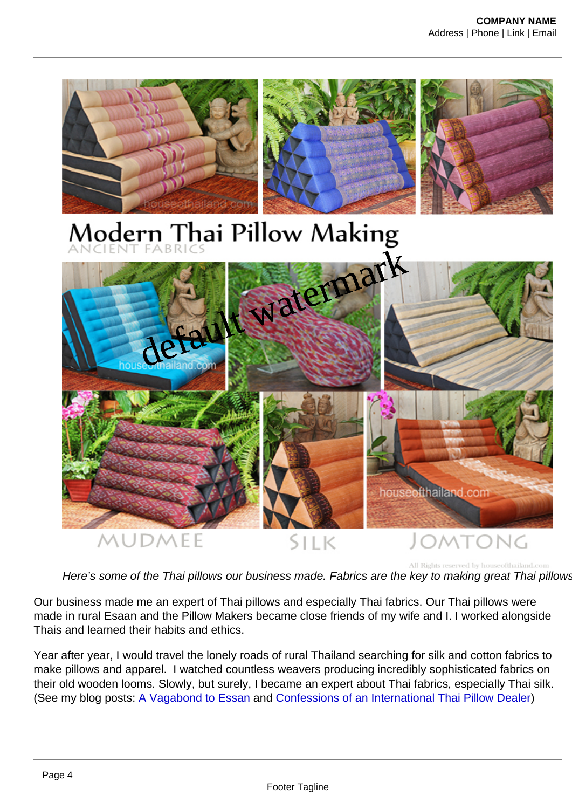default watermark

Here's some of the Thai pillows our business made. Fabrics are the key to making great Thai pillows.

Our business made me an expert of Thai pillows and especially Thai fabrics. Our Thai pillows were made in rural Esaan and the Pillow Makers became close friends of my wife and I. I worked alongside Thais and learned their habits and ethics.

Year after year, I would travel the lonely roads of rural Thailand searching for silk and cotton fabrics to make pillows and apparel. I watched countless weavers producing incredibly sophisticated fabrics on their old wooden looms. Slowly, but surely, I became an expert about Thai fabrics, especially Thai silk. (See my blog posts: [A Vagabond to Essan](https://mythailand.blog/2016/06/12/a-vagabond-to-isaan/) and [Confessions of an International Thai Pillow Dealer\)](https://mythailand.blog/2016/11/22/thai-pillows/)